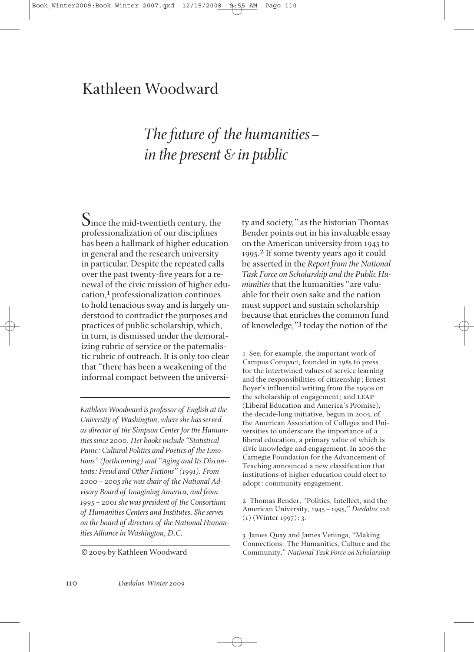## Kathleen Woodward

## *The future of the humanities– in the present & in public*

Since the mid-twentieth century, the professionalization of our disciplines has been a hallmark of higher education in general and the research university in particular. Despite the repeated calls over the past twenty-five years for a renewal of the civic mission of higher education,1 professionalization continues to hold tenacious sway and is largely understood to contradict the purposes and practices of public scholarship, which, in turn, is dismissed under the demoralizing rubric of service or the paternalistic rubric of outreach. It is only too clear that "there has been a weakening of the informal compact between the universi-

*Kathleen Woodward is professor of English at the University of Washington, where she has served as director of the Simpson Center for the Humanities since 2000. Her books include "Statistical Panic: Cultural Politics and Poetics of the Emotions" (forthcoming) and "Aging and Its Discontents: Freud and Other Fictions" (1991). From 2000–2005 she was chair of the National Advisory Board of Imagining America, and from 1995–2001 she was president of the Consortium of Humanities Centers and Institutes. She serves on the board of directors of the National Humanities Alliance in Washington, D.C.*

© 2009 by Kathleen Woodward

ty and society," as the historian Thomas Bender points out in his invaluable essay on the American university from 1945 to 1995.<sup>2</sup> If some twenty years ago it could be asserted in the *Report from the National Task Force on Scholarship and the Public Humanities* that the humanities "are valuable for their own sake and the nation must support and sustain scholarship because that enriches the common fund of knowledge,"3 today the notion of the

1 See, for example, the important work of Campus Compact, founded in 1985 to press for the intertwined values of service learning and the responsibilities of citizenship; Ernest Boyer's influential writing from the 1990s on the scholarship of engagement; and LEAP (Liberal Education and America's Promise), the decade-long initiative, begun in 2005, of the American Association of Colleges and Universities to underscore the importance of a liberal education, a primary value of which is civic knowledge and engagement. In 2006 the Carnegie Foundation for the Advancement of Teaching announced a new classification that institutions of higher education could elect to adopt: community engagement.

2 Thomas Bender, "Politics, Intellect, and the American University, 1945–1995," *Dædalus* 126 (1) (Winter 1997): 3.

3 James Quay and James Veninga, "Making Connections: The Humanities, Culture and the Community," *National Task Force on Scholarship*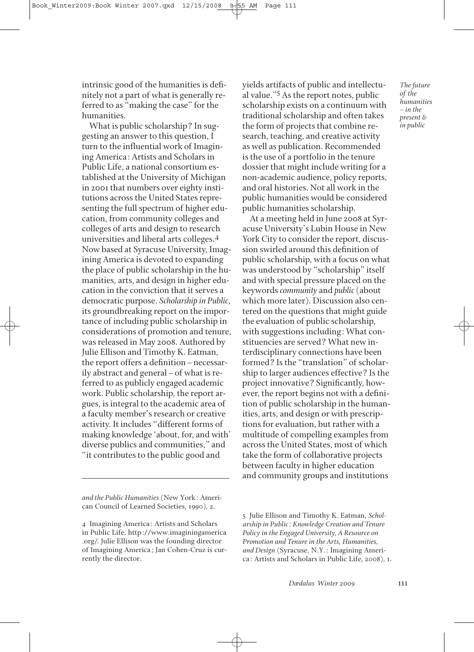intrinsic good of the humanities is definitely not a part of what is generally referred to as "making the case" for the humanities.

What is public scholarship? In suggesting an answer to this question, I turn to the influential work of Imagining America: Artists and Scholars in Public Life, a national consortium established at the University of Michigan in 2001 that numbers over eighty institutions across the United States representing the full spectrum of higher education, from community colleges and colleges of arts and design to research universities and liberal arts colleges.4 Now based at Syracuse University, Imagining America is devoted to expanding the place of public scholarship in the humanities, arts, and design in higher education in the conviction that it serves a democratic purpose. *Scholarship in Public*, its groundbreaking report on the importance of including public scholarship in considerations of promotion and tenure, was released in May 2008. Authored by Julie Ellison and Timothy K. Eatman, the report offers a definition – necessarily abstract and general–of what is referred to as publicly engaged academic work. Public scholarship, the report argues, is integral to the academic area of a faculty member's research or creative activity. It includes "different forms of making knowledge 'about, for, and with' diverse publics and communities," and "it contributes to the public good and

*and the Public Humanities* (New York: American Council of Learned Societies, 1990), 2.

yields artifacts of public and intellectual value."5 As the report notes, public scholarship exists on a continuum with traditional scholarship and often takes the form of projects that combine research, teaching, and creative activity as well as publication. Recommended is the use of a portfolio in the tenure dossier that might include writing for a non-academic audience, policy reports, and oral histories. Not all work in the public humanities would be considered public humanities scholarship.

At a meeting held in June 2008 at Syracuse University's Lubin House in New York City to consider the report, discussion swirled around this definition of public scholarship, with a focus on what was understood by "scholarship" itself and with special pressure placed on the keywords *community* and *public* (about which more later). Discussion also centered on the questions that might guide the evaluation of public scholarship, with suggestions including: What constituencies are served? What new interdisciplinary connections have been formed? Is the "translation" of scholarship to larger audiences effective? Is the project innovative? Significantly, however, the report begins not with a definition of public scholarship in the humanities, arts, and design or with prescriptions for evaluation, but rather with a multitude of compelling examples from across the United States, most of which take the form of collaborative projects between faculty in higher education and community groups and institutions

*Dædalus Winter 2009* 111

<sup>4</sup> Imagining America: Artists and Scholars in Public Life, http://www.imaginingamerica .org/. Julie Ellison was the founding director of Imagining America; Jan Cohen-Cruz is currently the director.

<sup>5</sup> Julie Ellison and Timothy K. Eatman, *Scholarship in Public: Knowledge Creation and Tenure Policy in the Engaged University, A Resource on Promotion and Tenure in the Arts, Humanities, and Design* (Syracuse, N.Y.: Imagining America: Artists and Scholars in Public Life, 2008), 1.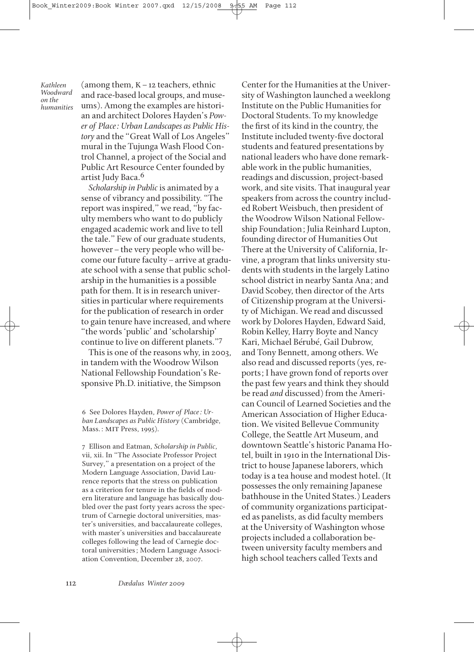(among them,  $K-12$  teachers, ethnic and race-based local groups, and museums). Among the examples are histori-*Kathleen Woodward humanities*

*on the*

an and architect Dolores Hayden's *Power of Place: Urban Landscapes as Public History* and the "Great Wall of Los Angeles" mural in the Tujunga Wash Flood Control Channel, a project of the Social and Public Art Resource Center founded by artist Judy Baca.6

*Scholarship in Public* is animated by a sense of vibrancy and possibility. "The report was inspired," we read, "by faculty members who want to do publicly engaged academic work and live to tell the tale." Few of our graduate students, however–the very people who will become our future faculty–arrive at graduate school with a sense that public scholarship in the humanities is a possible path for them. It is in research universities in particular where requirements for the publication of research in order to gain tenure have increased, and where "the words 'public' and 'scholarship' continue to live on different planets."7

This is one of the reasons why, in 2003, in tandem with the Woodrow Wilson National Fellowship Foundation's Responsive Ph.D. initiative, the Simpson

6 See Dolores Hayden, *Power of Place: Urban Landscapes as Public History* (Cambridge, Mass.: MIT Press, 1995).

7 Ellison and Eatman, *Scholarship in Public*, vii, xii. In "The Associate Professor Project Survey," a presentation on a project of the Modern Language Association, David Laurence reports that the stress on publication as a criterion for tenure in the fields of modern literature and language has basically doubled over the past forty years across the spectrum of Carnegie doctoral universities, master's universities, and baccalaureate colleges, with master's universities and baccalaureate colleges following the lead of Carnegie doctoral universities; Modern Language Association Convention, December 28, 2007.

Center for the Humanities at the University of Washington launched a weeklong Institute on the Public Humanities for Doctoral Students. To my knowledge the first of its kind in the country, the Institute included twenty-five doctoral students and featured presentations by national leaders who have done remarkable work in the public humanities, readings and discussion, project-based work, and site visits. That inaugural year speakers from across the country included Robert Weisbuch, then president of the Woodrow Wilson National Fellowship Foundation; Julia Reinhard Lupton, founding director of Humanities Out There at the University of California, Irvine, a program that links university students with students in the largely Latino school district in nearby Santa Ana; and David Scobey, then director of the Arts of Citizenship program at the University of Michigan. We read and discussed work by Dolores Hayden, Edward Said, Robin Kelley, Harry Boyte and Nancy Kari, Michael Bérubé, Gail Dubrow, and Tony Bennett, among others. We also read and discussed reports (yes, reports; I have grown fond of reports over the past few years and think they should be read *and* discussed) from the American Council of Learned Societies and the American Association of Higher Education. We visited Bellevue Community College, the Seattle Art Museum, and downtown Seattle's historic Panama Hotel, built in 1910 in the International District to house Japanese laborers, which today is a tea house and modest hotel. (It possesses the only remaining Japanese bathhouse in the United States.) Leaders of community organizations participated as panelists, as did faculty members at the University of Washington whose projects included a collaboration between university faculty members and high school teachers called Texts and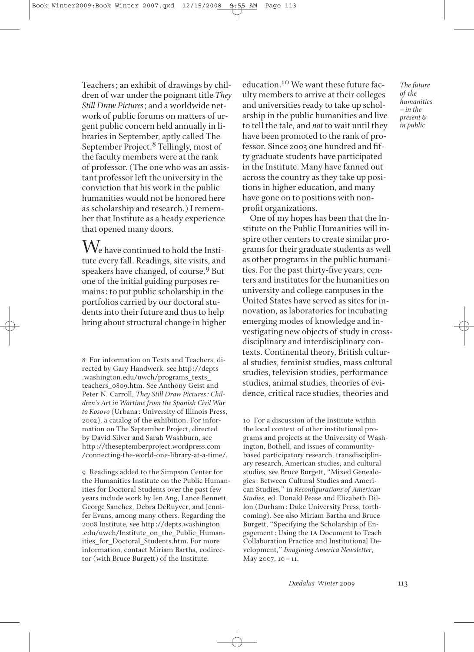Teachers; an exhibit of drawings by children of war under the poignant title *They Still Draw Pictures*; and a worldwide network of public forums on matters of urgent public concern held annually in libraries in September, aptly called The September Project.<sup>8</sup> Tellingly, most of the faculty members were at the rank of professor. (The one who was an assistant professor left the university in the conviction that his work in the public humanities would not be honored here as scholarship and research.) I remember that Institute as a heady experience that opened many doors.

We have continued to hold the Institute every fall. Readings, site visits, and speakers have changed, of course.9 But one of the initial guiding purposes remains: to put public scholarship in the portfolios carried by our doctoral students into their future and thus to help bring about structural change in higher

8 For information on Texts and Teachers, directed by Gary Handwerk, see http://depts .washington.edu/uwch/programs\_texts\_ teachers\_0809.htm. See Anthony Geist and Peter N. Carroll, *They Still Draw Pictures: Children's Art in Wartime from the Spanish Civil War to Kosovo* (Urbana: University of Illinois Press, 2002), a catalog of the exhibition. For information on The September Project, directed by David Silver and Sarah Washburn, see http://theseptemberproject.wordpress.com /connecting-the-world-one-library-at-a-time/.

9 Readings added to the Simpson Center for the Humanities Institute on the Public Humanities for Doctoral Students over the past few years include work by Ien Ang, Lance Bennett, George Sanchez, Debra DeRuyver, and Jennifer Evans, among many others. Regarding the 2008 Institute, see http://depts.washington .edu/uwch/Institute\_on\_the\_Public\_Humanities for Doctoral Students.htm. For more information, contact Miriam Bartha, codirector (with Bruce Burgett) of the Institute.

education.10 We want these future faculty members to arrive at their colleges and universities ready to take up scholarship in the public humanities and live to tell the tale, and *not* to wait until they have been promoted to the rank of professor. Since 2003 one hundred and fifty graduate students have participated in the Institute. Many have fanned out across the country as they take up positions in higher education, and many have gone on to positions with nonprofit organizations.

One of my hopes has been that the Institute on the Public Humanities will inspire other centers to create similar programs for their graduate students as well as other programs in the public humanities. For the past thirty-five years, centers and institutes for the humanities on university and college campuses in the United States have served as sites for innovation, as laboratories for incubating emerging modes of knowledge and investigating new objects of study in crossdisciplinary and interdisciplinary contexts. Continental theory, British cultural studies, feminist studies, mass cultural studies, television studies, performance studies, animal studies, theories of evidence, critical race studies, theories and

10 For a discussion of the Institute within the local context of other institutional programs and projects at the University of Washington, Bothell, and issues of communitybased participatory research, transdisciplinary research, American studies, and cultural studies, see Bruce Burgett, "Mixed Genealogies: Between Cultural Studies and American Studies," in *Recon½gurations of American Studies*, ed. Donald Pease and Elizabeth Dillon (Durham: Duke University Press, forthcoming). See also Miriam Bartha and Bruce Burgett, "Specifying the Scholarship of Engagement: Using the ia Document to Teach Collaboration Practice and Institutional Development," *Imagining America Newsletter*, May 2007, 10–11.

*Dædalus Winter 2009* 113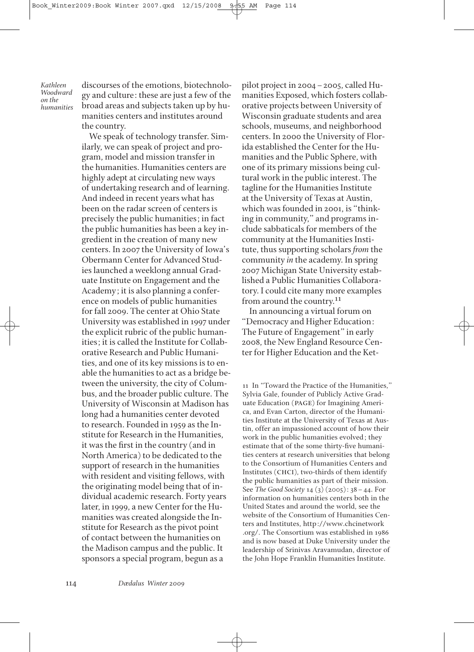discourses of the emotions, biotechnology and culture: these are just a few of the broad areas and subjects taken up by humanities centers and institutes around the country.

We speak of technology transfer. Similarly, we can speak of project and program, model and mission transfer in the humanities. Humanities centers are highly adept at circulating new ways of undertaking research and of learning. And indeed in recent years what has been on the radar screen of centers is precisely the public humanities; in fact the public humanities has been a key ingredient in the creation of many new centers. In 2007 the University of Iowa's Obermann Center for Advanced Studies launched a weeklong annual Graduate Institute on Engagement and the Academy; it is also planning a conference on models of public humanities for fall 2009. The center at Ohio State University was established in 1997 under the explicit rubric of the public humanities; it is called the Institute for Collaborative Research and Public Humanities, and one of its key missions is to enable the humanities to act as a bridge between the university, the city of Columbus, and the broader public culture. The University of Wisconsin at Madison has long had a humanities center devoted to research. Founded in 1959 as the Institute for Research in the Humanities, it was the first in the country (and in North America) to be dedicated to the support of research in the humanities with resident and visiting fellows, with the originating model being that of individual academic research. Forty years later, in 1999, a new Center for the Humanities was created alongside the Institute for Research as the pivot point of contact between the humanities on the Madison campus and the public. It sponsors a special program, begun as a

pilot project in 2004–2005, called Humanities Exposed, which fosters collaborative projects between University of Wisconsin graduate students and area schools, museums, and neighborhood centers. In 2000 the University of Florida established the Center for the Humanities and the Public Sphere, with one of its primary missions being cultural work in the public interest. The tagline for the Humanities Institute at the University of Texas at Austin, which was founded in 2001, is "thinking in community," and programs include sabbaticals for members of the community at the Humanities Institute, thus supporting scholars *from* the community *in* the academy. In spring 2007 Michigan State University established a Public Humanities Collaboratory. I could cite many more examples from around the country.11

In announcing a virtual forum on "Democracy and Higher Education: The Future of Engagement" in early 2008, the New England Resource Center for Higher Education and the Ket-

11 In "Toward the Practice of the Humanities," Sylvia Gale, founder of Publicly Active Graduate Education (PAGE) for Imagining America, and Evan Carton, director of the Humanities Institute at the University of Texas at Austin, offer an impassioned account of how their work in the public humanities evolved; they estimate that of the some thirty-five humanities centers at research universities that belong to the Consortium of Humanities Centers and Institutes (chci), two-thirds of them identify the public humanities as part of their mission. See *The Good Society* 14 (3) (2005): 38–44. For information on humanities centers both in the United States and around the world, see the website of the Consortium of Humanities Centers and Institutes, http://www.chcinetwork .org/. The Consortium was established in 1986 and is now based at Duke University under the leadership of Srinivas Aravamudan, director of the John Hope Franklin Humanities Institute.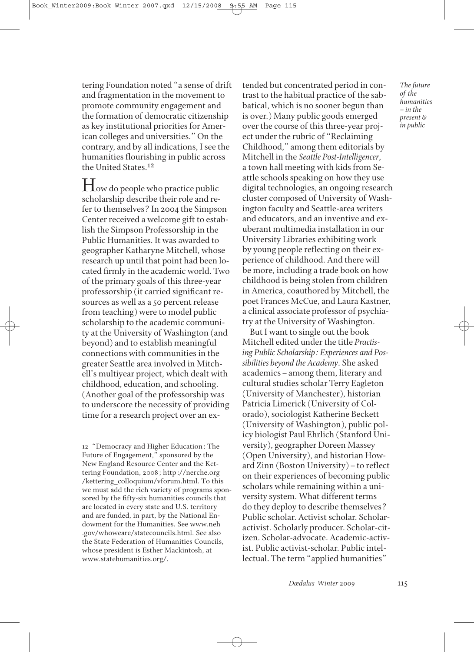tering Foundation noted "a sense of drift and fragmentation in the movement to promote community engagement and the formation of democratic citizenship as key institutional priorities for American colleges and universities." On the contrary, and by all indications, I see the humanities flourishing in public across the United States.12

How do people who practice public scholarship describe their role and refer to themselves? In 2004 the Simpson Center received a welcome gift to establish the Simpson Professorship in the Public Humanities. It was awarded to geographer Katharyne Mitchell, whose research up until that point had been located firmly in the academic world. Two of the primary goals of this three-year professorship (it carried significant resources as well as a 50 percent release from teaching) were to model public scholarship to the academic community at the University of Washington (and beyond) and to establish meaningful connections with communities in the greater Seattle area involved in Mitchell's multiyear project, which dealt with childhood, education, and schooling. (Another goal of the professorship was to underscore the necessity of providing time for a research project over an ex-

12 "Democracy and Higher Education: The Future of Engagement," sponsored by the New England Resource Center and the Kettering Foundation, 2008; http://nerche.org /kettering\_colloquium/vforum.html. To this we must add the rich variety of programs sponsored by the fifty-six humanities councils that are located in every state and U.S. territory and are funded, in part, by the National Endowment for the Humanities. See www.neh .gov/whoweare/statecouncils.html. See also the State Federation of Humanities Councils, whose president is Esther Mackintosh, at www.statehumanities.org/.

tended but concentrated period in contrast to the habitual practice of the sabbatical, which is no sooner begun than is over.) Many public goods emerged over the course of this three-year project under the rubric of "Reclaiming Childhood," among them editorials by Mitchell in the *Seattle Post-Intelligencer*, a town hall meeting with kids from Seattle schools speaking on how they use digital technologies, an ongoing research cluster composed of University of Washington faculty and Seattle-area writers and educators, and an inventive and exuberant multimedia installation in our University Libraries exhibiting work by young people reflecting on their experience of childhood. And there will be more, including a trade book on how childhood is being stolen from children in America, coauthored by Mitchell, the poet Frances McCue, and Laura Kastner, a clinical associate professor of psychiatry at the University of Washington.

But I want to single out the book Mitchell edited under the title *Practising Public Scholarship: Experiences and Possibilities beyond the Academy*. She asked academics–among them, literary and cultural studies scholar Terry Eagleton (University of Manchester), historian Patricia Limerick (University of Colorado), sociologist Katherine Beckett (University of Washington), public policy biologist Paul Ehrlich (Stanford University), geographer Doreen Massey (Open University), and historian Howard Zinn (Boston University)–to reflect on their experiences of becoming public scholars while remaining within a university system. What different terms do they deploy to describe themselves? Public scholar. Activist scholar. Scholaractivist. Scholarly producer. Scholar-citizen. Scholar-advocate. Academic-activist. Public activist-scholar. Public intellectual. The term "applied humanities"

*Dædalus Winter 2009* 115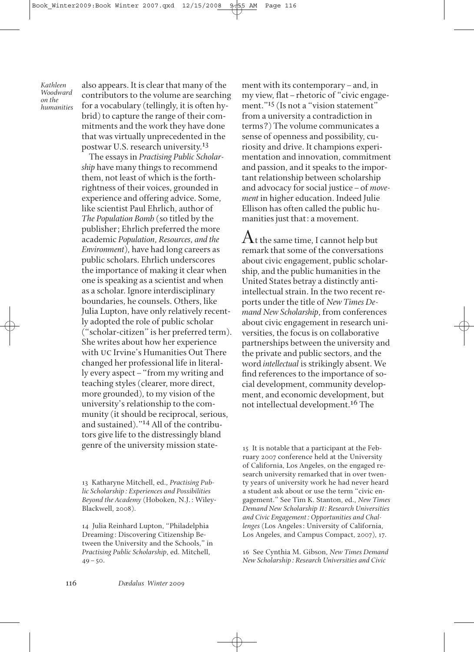also appears. It is clear that many of the contributors to the volume are searching for a vocabulary (tellingly, it is often hybrid) to capture the range of their commitments and the work they have done *Kathleen Woodward on the humanities*

> postwar U.S. research university.13 The essays in *Practising Public Scholarship* have many things to recommend them, not least of which is the forthrightness of their voices, grounded in experience and offering advice. Some, like scientist Paul Ehrlich, author of *The Population Bomb* (so titled by the publisher; Ehrlich preferred the more academic *Population, Resources, and the Environment*), have had long careers as public scholars. Ehrlich underscores the importance of making it clear when one is speaking as a scientist and when as a scholar. Ignore interdisciplinary boundaries, he counsels. Others, like Julia Lupton, have only relatively recently adopted the role of public scholar ("scholar-citizen" is her preferred term). She writes about how her experience with uc Irvine's Humanities Out There changed her professional life in literally every aspect–"from my writing and teaching styles (clearer, more direct, more grounded), to my vision of the university's relationship to the community (it should be reciprocal, serious, and sustained)."14 All of the contributors give life to the distressingly bland genre of the university mission state-

that was virtually unprecedented in the

13 Katharyne Mitchell, ed., *Practising Public Scholarship: Experiences and Possibilities Beyond the Academy* (Hoboken, N.J.: Wiley-Blackwell, 2008).

14 Julia Reinhard Lupton, "Philadelphia Dreaming: Discovering Citizenship Between the University and the Schools," in *Practising Public Scholarship*, ed. Mitchell,  $49 - 50.$ 

ment with its contemporary–and, in my view, flat–rhetoric of "civic engagement."15 (Is not a "vision statement" from a university a contradiction in terms?) The volume communicates a sense of openness and possibility, curiosity and drive. It champions experimentation and innovation, commitment and passion, and it speaks to the important relationship between scholarship and advocacy for social justice–of *movement* in higher education. Indeed Julie Ellison has often called the public humanities just that: a movement.

 $\rm{A}$ t the same time, I cannot help but remark that some of the conversations about civic engagement, public scholarship, and the public humanities in the United States betray a distinctly antiintellectual strain. In the two recent reports under the title of *New Times Demand New Scholarship*, from conferences about civic engagement in research universities, the focus is on collaborative partnerships between the university and the private and public sectors, and the word *intellectual* is strikingly absent. We find references to the importance of social development, community development, and economic development, but not intellectual development.16 The

15 It is notable that a participant at the February 2007 conference held at the University of California, Los Angeles, on the engaged research university remarked that in over twenty years of university work he had never heard a student ask about or use the term "civic engagement." See Tim K. Stanton, ed., *New Times Demand New Scholarship* II*: Research Universities and Civic Engagement: Opportunities and Challenges* (Los Angeles: University of California, Los Angeles, and Campus Compact, 2007), 17.

16 See Cynthia M. Gibson, *New Times Demand New Scholarship: Research Universities and Civic*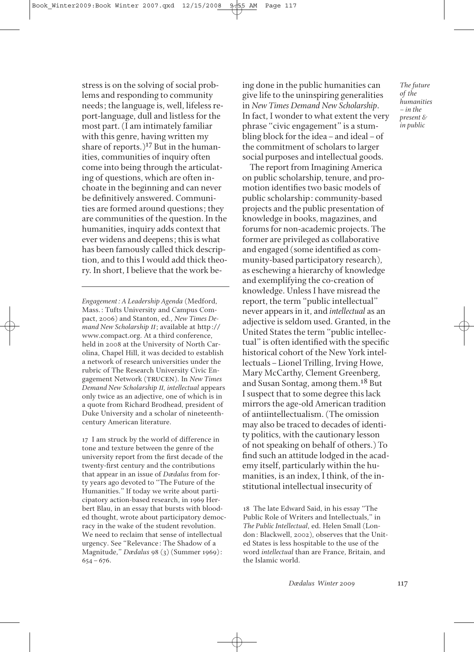stress is on the solving of social problems and responding to community needs; the language is, well, lifeless report-language, dull and listless for the most part. (I am intimately familiar with this genre, having written my share of reports.)<sup>17</sup> But in the humanities, communities of inquiry often come into being through the articulating of questions, which are often inchoate in the beginning and can never be definitively answered. Communities are formed around questions; they are communities of the question. In the humanities, inquiry adds context that ever widens and deepens; this is what has been famously called thick description, and to this I would add thick theory. In short, I believe that the work be-

*Engagement: A Leadership Agenda* (Medford, Mass.: Tufts University and Campus Compact, 2006) and Stanton, ed., *New Times Demand New Scholarship* II; available at http:// www.compact.org. At a third conference, held in 2008 at the University of North Carolina, Chapel Hill, it was decided to establish a network of research universities under the rubric of The Research University Civic Engagement Network (TRUCEN). In *New Times Demand New Scholarship* II, *intellectual* appears only twice as an adjective, one of which is in a quote from Richard Brodhead, president of Duke University and a scholar of nineteenthcentury American literature.

17 I am struck by the world of difference in tone and texture between the genre of the university report from the first decade of the twenty-first century and the contributions that appear in an issue of *Dædalus* from forty years ago devoted to "The Future of the Humanities." If today we write about participatory action-based research, in 1969 Herbert Blau, in an essay that bursts with blooded thought, wrote about participatory democracy in the wake of the student revolution. We need to reclaim that sense of intellectual urgency. See "Relevance: The Shadow of a Magnitude," *Dædalus* 98 (3) (Summer 1969): 654–676.

ing done in the public humanities can give life to the uninspiring generalities in *New Times Demand New Scholarship*. In fact, I wonder to what extent the very phrase "civic engagement" is a stumbling block for the idea–and ideal–of the commitment of scholars to larger social purposes and intellectual goods.

The report from Imagining America on public scholarship, tenure, and promotion identifies two basic models of public scholarship: community-based projects and the public presentation of knowledge in books, magazines, and forums for non-academic projects. The former are privileged as collaborative and engaged (some identified as community-based participatory research), as eschewing a hierarchy of knowledge and exemplifying the co-creation of knowledge. Unless I have misread the report, the term "public intellectual" never appears in it, and *intellectual* as an adjective is seldom used. Granted, in the United States the term "public intellectual" is often identified with the specific historical cohort of the New York intellectuals–Lionel Trilling, Irving Howe, Mary McCarthy, Clement Greenberg, and Susan Sontag, among them.18 But I suspect that to some degree this lack mirrors the age-old American tradition of antiintellectualism. (The omission may also be traced to decades of identity politics, with the cautionary lesson of not speaking on behalf of others.) To find such an attitude lodged in the academy itself, particularly within the humanities, is an index, I think, of the institutional intellectual insecurity of

18 The late Edward Said, in his essay "The Public Role of Writers and Intellectuals," in *The Public Intellectual*, ed. Helen Small (London: Blackwell, 2002), observes that the United States is less hospitable to the use of the word *intellectual* than are France, Britain, and the Islamic world.

*Dædalus Winter 2009* 117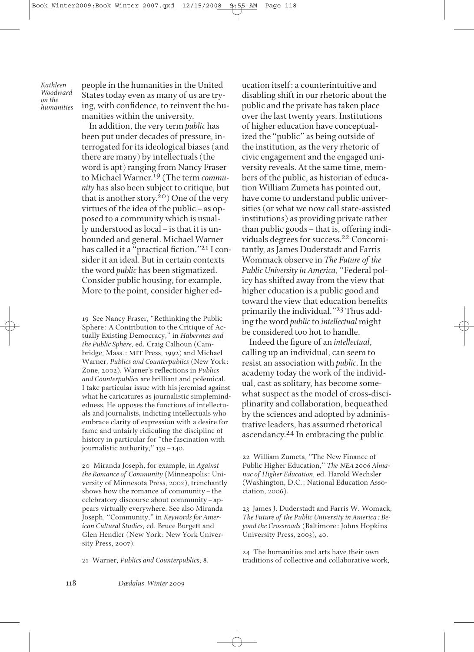people in the humanities in the United States today even as many of us are trying, with confidence, to reinvent the humanities within the university.

In addition, the very term *public* has been put under decades of pressure, interrogated for its ideological biases (and there are many) by intellectuals (the word is apt) ranging from Nancy Fraser to Michael Warner.19 (The term *community* has also been subject to critique, but that is another story.20) One of the very virtues of the idea of the public–as opposed to a community which is usually understood as local–is that it is unbounded and general. Michael Warner has called it a "practical fiction."<sup>21</sup> I consider it an ideal. But in certain contexts the word *public* has been stigmatized. Consider public housing, for example. More to the point, consider higher ed-

19 See Nancy Fraser, "Rethinking the Public Sphere: A Contribution to the Critique of Actually Existing Democracy," in *Habermas and the Public Sphere*, ed. Craig Calhoun (Cambridge, Mass.: MIT Press, 1992) and Michael Warner, *Publics and Counterpublics* (New York: Zone, 2002). Warner's reflections in *Publics and Counterpublics* are brilliant and polemical. I take particular issue with his jeremiad against what he caricatures as journalistic simplemindedness. He opposes the functions of intellectuals and journalists, indicting intellectuals who embrace clarity of expression with a desire for fame and unfairly ridiculing the discipline of history in particular for "the fascination with journalistic authority," 139–140.

20 Miranda Joseph, for example, in *Against the Romance of Community* (Minneapolis: University of Minnesota Press, 2002), trenchantly shows how the romance of community–the celebratory discourse about community–appears virtually everywhere. See also Miranda Joseph, "Community," in *Keywords for American Cultural Studies*, ed. Bruce Burgett and Glen Hendler (New York: New York University Press, 2007).

21 Warner, *Publics and Counterpublics*, 8.

ucation itself: a counterintuitive and disabling shift in our rhetoric about the public and the private has taken place over the last twenty years. Institutions of higher education have conceptualized the "public" as being outside of the institution, as the very rhetoric of civic engagement and the engaged university reveals. At the same time, members of the public, as historian of education William Zumeta has pointed out, have come to understand public universities (or what we now call state-assisted institutions) as providing private rather than public goods–that is, offering individuals degrees for success.22 Concomitantly, as James Duderstadt and Farris Wommack observe in *The Future of the Public University in America*, "Federal policy has shifted away from the view that higher education is a public good and toward the view that education benefits primarily the individual."23 Thus adding the word *public* to *intellectual* might be considered too hot to handle.

Indeed the ½gure of an *intellectual*, calling up an individual, can seem to resist an association with *public*. In the academy today the work of the individual, cast as solitary, has become somewhat suspect as the model of cross-disciplinarity and collaboration, bequeathed by the sciences and adopted by administrative leaders, has assumed rhetorical ascendancy.24 In embracing the public

22 William Zumeta, "The New Finance of Public Higher Education," The NEA 2006 Alma*nac of Higher Education*, ed. Harold Wechsler (Washington, D.C.: National Education Association, 2006).

23 James J. Duderstadt and Farris W. Womack, *The Future of the Public University in America: Beyond the Crossroads* (Baltimore: Johns Hopkins University Press, 2003), 40.

24 The humanities and arts have their own traditions of collective and collaborative work,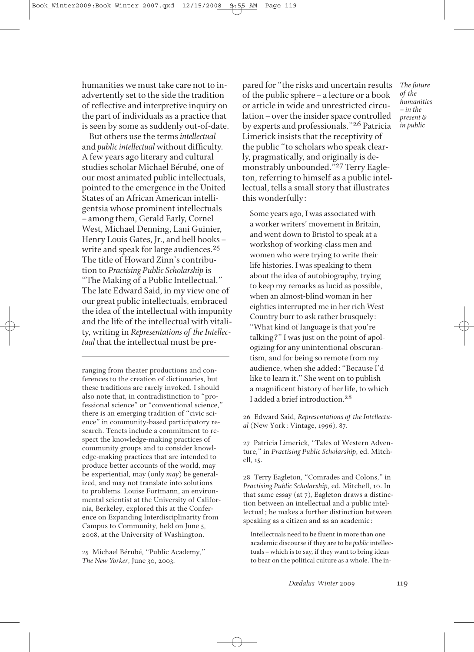humanities we must take care not to inadvertently set to the side the tradition of reflective and interpretive inquiry on the part of individuals as a practice that is seen by some as suddenly out-of-date.

But others use the terms *intellectual* and *public intellectual* without difficulty. A few years ago literary and cultural studies scholar Michael Bérubé, one of our most animated public intellectuals, pointed to the emergence in the United States of an African American intelligentsia whose prominent intellectuals –among them, Gerald Early, Cornel West, Michael Denning, Lani Guinier, Henry Louis Gates, Jr., and bell hooks– write and speak for large audiences.<sup>25</sup> The title of Howard Zinn's contribution to *Practising Public Scholarship* is "The Making of a Public Intellectual." The late Edward Said, in my view one of our great public intellectuals, embraced the idea of the intellectual with impunity and the life of the intellectual with vitality, writing in *Representations of the Intellectual* that the intellectual must be pre-

ranging from theater productions and conferences to the creation of dictionaries, but these traditions are rarely invoked. I should also note that, in contradistinction to "professional science" or "conventional science," there is an emerging tradition of "civic science" in community-based participatory research. Tenets include a commitment to respect the knowledge-making practices of community groups and to consider knowledge-making practices that are intended to produce better accounts of the world, may be experiential, may (only *may*) be generalized, and may not translate into solutions to problems. Louise Fortmann, an environmental scientist at the University of California, Berkeley, explored this at the Conference on Expanding Interdisciplinarity from Campus to Community, held on June 5, 2008, at the University of Washington.

25 Michael Bérubé, "Public Academy," *The New Yorker*, June 30, 2003.

pared for "the risks and uncertain results of the public sphere–a lecture or a book or article in wide and unrestricted circulation–over the insider space controlled by experts and professionals."26 Patricia Limerick insists that the receptivity of the public "to scholars who speak clearly, pragmatically, and originally is demonstrably unbounded."27 Terry Eagleton, referring to himself as a public intellectual, tells a small story that illustrates this wonderfully:

Some years ago, I was associated with a worker writers' movement in Britain, and went down to Bristol to speak at a workshop of working-class men and women who were trying to write their life histories. I was speaking to them about the idea of autobiography, trying to keep my remarks as lucid as possible, when an almost-blind woman in her eighties interrupted me in her rich West Country burr to ask rather brusquely: "What kind of language is that you're talking?" I was just on the point of apologizing for any unintentional obscurantism, and for being so remote from my audience, when she added: "Because I'd like to learn it." She went on to publish a magnificent history of her life, to which I added a brief introduction 28

26 Edward Said, *Representations of the Intellectual* (New York: Vintage, 1996), 87.

27 Patricia Limerick, "Tales of Western Adventure," in *Practising Public Scholarship*, ed. Mitchell, 15.

28 Terry Eagleton, "Comrades and Colons," in *Practising Public Scholarship*, ed. Mitchell, 10. In that same essay (at 7), Eagleton draws a distinction between an intellectual and a public intellectual; he makes a further distinction between speaking as a citizen and as an academic:

Intellectuals need to be fluent in more than one academic discourse if they are to be *public* intellectuals–which is to say, if they want to bring ideas to bear on the political culture as a whole. The in-

*Dædalus Winter 2009* 119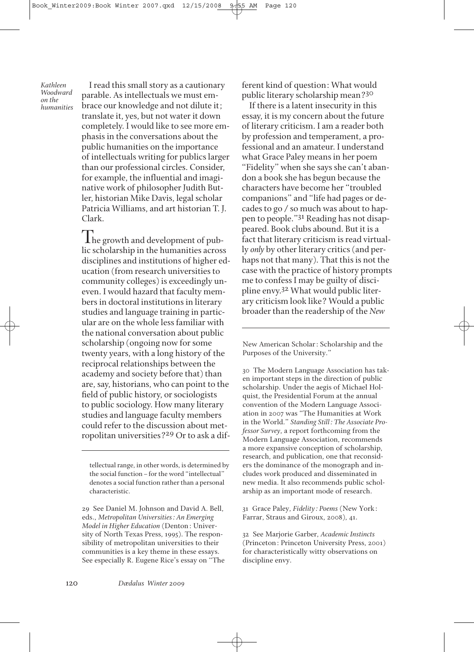I read this small story as a cautionary parable. As intellectuals we must embrace our knowledge and not dilute it; translate it, yes, but not water it down completely. I would like to see more emphasis in the conversations about the public humanities on the importance of intellectuals writing for publics larger than our professional circles. Consider, for example, the influential and imaginative work of philosopher Judith Butler, historian Mike Davis, legal scholar Patricia Williams, and art historian T. J. Clark.

 $\rm T$ he growth and development of public scholarship in the humanities across disciplines and institutions of higher education (from research universities to community colleges) is exceedingly uneven. I would hazard that faculty members in doctoral institutions in literary studies and language training in particular are on the whole less familiar with the national conversation about public scholarship (ongoing now for some twenty years, with a long history of the reciprocal relationships between the academy and society before that) than are, say, historians, who can point to the field of public history, or sociologists to public sociology. How many literary studies and language faculty members could refer to the discussion about metropolitan universities?29 Or to ask a different kind of question: What would public literary scholarship mean?30

If there is a latent insecurity in this essay, it is my concern about the future of literary criticism. I am a reader both by profession and temperament, a professional and an amateur. I understand what Grace Paley means in her poem "Fidelity" when she says she can't abandon a book she has begun because the characters have become her "troubled companions" and "life had pages or decades to go / so much was about to happen to people."31 Reading has not disappeared. Book clubs abound. But it is a fact that literary criticism is read virtually *only* by other literary critics (and perhaps not that many). That this is not the case with the practice of history prompts me to confess I may be guilty of discipline envy.32 What would public literary criticism look like? Would a public broader than the readership of the *New*

New American Scholar: Scholarship and the Purposes of the University."

30 The Modern Language Association has taken important steps in the direction of public scholarship. Under the aegis of Michael Holquist, the Presidential Forum at the annual convention of the Modern Language Association in 2007 was "The Humanities at Work in the World." *Standing Still: The Associate Professor Survey*, a report forthcoming from the Modern Language Association, recommends a more expansive conception of scholarship, research, and publication, one that reconsiders the dominance of the monograph and includes work produced and disseminated in new media. It also recommends public scholarship as an important mode of research.

31 Grace Paley, *Fidelity: Poems* (New York: Farrar, Straus and Giroux, 2008), 41.

32 See Marjorie Garber, *Academic Instincts* (Princeton: Princeton University Press, 2001) for characteristically witty observations on discipline envy.

tellectual range, in other words, is determined by the social function–for the word "intellectual" denotes a social function rather than a personal characteristic.

<sup>29</sup> See Daniel M. Johnson and David A. Bell, eds., *Metropolitan Universities: An Emerging Model in Higher Education* (Denton: University of North Texas Press, 1995). The responsibility of metropolitan universities to their communities is a key theme in these essays. See especially R. Eugene Rice's essay on "The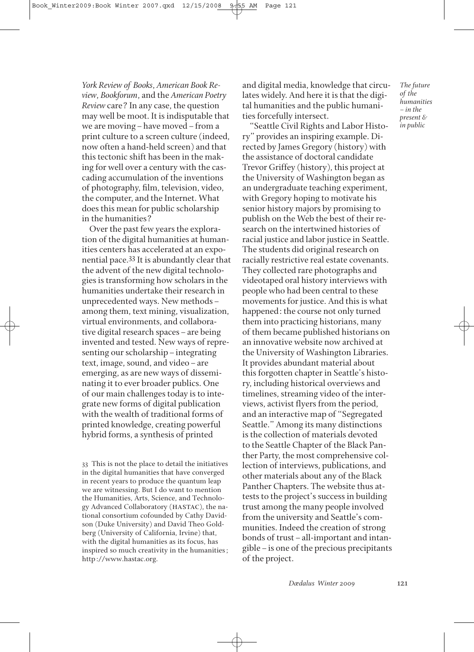*York Review of Books*, *American Book Review*, *Bookforum*, and the *American Poetry Review* care? In any case, the question may well be moot. It is indisputable that we are moving–have moved–from a print culture to a screen culture (indeed, now often a hand-held screen) and that this tectonic shift has been in the making for well over a century with the cascading accumulation of the inventions of photography, film, television, video, the computer, and the Internet. What does this mean for public scholarship in the humanities?

Over the past few years the exploration of the digital humanities at humanities centers has accelerated at an exponential pace.33 It is abundantly clear that the advent of the new digital technologies is transforming how scholars in the humanities undertake their research in unprecedented ways. New methods– among them, text mining, visualization, virtual environments, and collaborative digital research spaces–are being invented and tested. New ways of representing our scholarship–integrating text, image, sound, and video–are emerging, as are new ways of disseminating it to ever broader publics. One of our main challenges today is to integrate new forms of digital publication with the wealth of traditional forms of printed knowledge, creating powerful hybrid forms, a synthesis of printed

33 This is not the place to detail the initiatives in the digital humanities that have converged in recent years to produce the quantum leap we are witnessing. But I do want to mention the Humanities, Arts, Science, and Technology Advanced Collaboratory (HASTAC), the national consortium cofounded by Cathy Davidson (Duke University) and David Theo Goldberg (University of California, Irvine) that, with the digital humanities as its focus, has inspired so much creativity in the humanities; http://www.hastac.org.

and digital media, knowledge that circulates widely. And here it is that the digital humanities and the public humanities forcefully intersect.

"Seattle Civil Rights and Labor History" provides an inspiring example. Directed by James Gregory (history) with the assistance of doctoral candidate Trevor Griffey (history), this project at the University of Washington began as an undergraduate teaching experiment, with Gregory hoping to motivate his senior history majors by promising to publish on the Web the best of their research on the intertwined histories of racial justice and labor justice in Seattle. The students did original research on racially restrictive real estate covenants. They collected rare photographs and videotaped oral history interviews with people who had been central to these movements for justice. And this is what happened: the course not only turned them into practicing historians, many of them became published historians on an innovative website now archived at the University of Washington Libraries. It provides abundant material about this forgotten chapter in Seattle's history, including historical overviews and timelines, streaming video of the interviews, activist flyers from the period, and an interactive map of "Segregated Seattle." Among its many distinctions is the collection of materials devoted to the Seattle Chapter of the Black Panther Party, the most comprehensive collection of interviews, publications, and other materials about any of the Black Panther Chapters. The website thus attests to the project's success in building trust among the many people involved from the university and Seattle's communities. Indeed the creation of strong bonds of trust–all-important and intangible–is one of the precious precipitants of the project.

*Dædalus Winter 2009* 121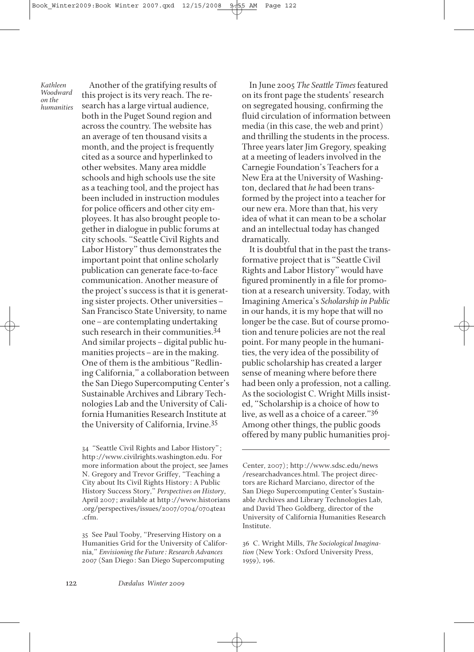Another of the gratifying results of this project is its very reach. The research has a large virtual audience, both in the Puget Sound region and across the country. The website has an average of ten thousand visits a month, and the project is frequently cited as a source and hyperlinked to other websites. Many area middle schools and high schools use the site as a teaching tool, and the project has been included in instruction modules for police officers and other city employees. It has also brought people together in dialogue in public forums at city schools. "Seattle Civil Rights and Labor History" thus demonstrates the important point that online scholarly publication can generate face-to-face communication. Another measure of the project's success is that it is generating sister projects. Other universities– San Francisco State University, to name one–are contemplating undertaking such research in their communities.34 And similar projects–digital public humanities projects–are in the making. One of them is the ambitious "Redlining California," a collaboration between the San Diego Supercomputing Center's Sustainable Archives and Library Technologies Lab and the University of California Humanities Research Institute at the University of California, Irvine.35

34 "Seattle Civil Rights and Labor History"; http://www.civilrights.washington.edu. For more information about the project, see James N. Gregory and Trevor Griffey, "Teaching a City about Its Civil Rights History: A Public History Success Story," *Perspectives on History*, April 2007; available at http://www.historians .org/perspectives/issues/2007/0704/0704tea1 .cfm.

35 See Paul Tooby, "Preserving History on a Humanities Grid for the University of California," *Envisioning the Future: Research Advances 2007* (San Diego: San Diego Supercomputing

In June 2005 *The Seattle Times* featured on its front page the students' research on segregated housing, confirming the fluid circulation of information between media (in this case, the web and print) and thrilling the students in the process. Three years later Jim Gregory, speaking at a meeting of leaders involved in the Carnegie Foundation's Teachers for a New Era at the University of Washington, declared that *he* had been transformed by the project into a teacher for our new era. More than that, his very idea of what it can mean to be a scholar and an intellectual today has changed dramatically.

It is doubtful that in the past the transformative project that is "Seattle Civil Rights and Labor History" would have figured prominently in a file for promotion at a research university. Today, with Imagining America's *Scholarship in Public* in our hands, it is my hope that will no longer be the case. But of course promotion and tenure policies are not the real point. For many people in the humanities, the very idea of the possibility of public scholarship has created a larger sense of meaning where before there had been only a profession, not a calling. As the sociologist C. Wright Mills insisted, "Scholarship is a choice of how to live, as well as a choice of a career."36 Among other things, the public goods offered by many public humanities proj-

Center, 2007); http://www.sdsc.edu/news /researchadvances.html. The project directors are Richard Marciano, director of the San Diego Supercomputing Center's Sustainable Archives and Library Technologies Lab, and David Theo Goldberg, director of the University of California Humanities Research Institute.

36 C. Wright Mills, *The Sociological Imagination* (New York: Oxford University Press, 1959), 196.